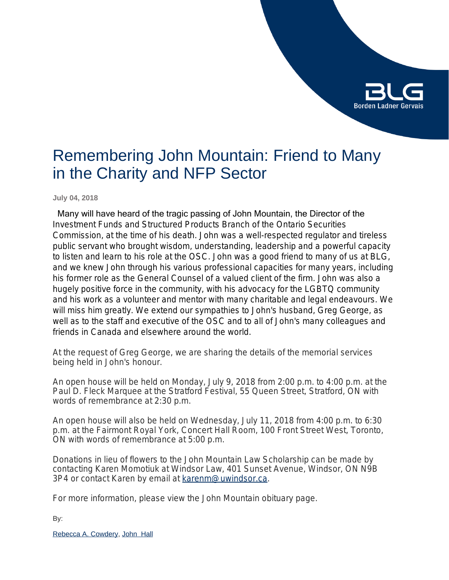

# Remembering John Mountain: Friend to Many in the Charity and NFP Sector

**July 04, 2018**

 Many will have heard of the tragic passing of John Mountain, the Director of the Investment Funds and Structured Products Branch of the Ontario Securities Commission, at the time of his death. John was a well-respected regulator and tireless public servant who brought wisdom, understanding, leadership and a powerful capacity to listen and learn to his role at the OSC. John was a good friend to many of us at BLG, and we knew John through his various professional capacities for many years, including his former role as the General Counsel of a valued client of the firm. John was also a hugely positive force in the community, with his advocacy for the LGBTQ community and his work as a volunteer and mentor with many charitable and legal endeavours. We will miss him greatly. We extend our sympathies to John's husband, Greg George, as well as to the staff and executive of the OSC and to all of John's many colleagues and friends in Canada and elsewhere around the world.

At the request of Greg George, we are sharing the details of the memorial services being held in John's honour.

An open house will be held on Monday, July 9, 2018 from 2:00 p.m. to 4:00 p.m. at the Paul D. Fleck Marquee at the Stratford Festival, 55 Queen Street, Stratford, ON with words of remembrance at 2:30 p.m.

An open house will also be held on Wednesday, July 11, 2018 from 4:00 p.m. to 6:30 p.m. at the Fairmont Royal York, Concert Hall Room, 100 Front Street West, Toronto, ON with words of remembrance at 5:00 p.m.

Donations in lieu of flowers to the John Mountain Law Scholarship can be made by contacting Karen Momotiuk at Windsor Law, 401 Sunset Avenue, Windsor, ON N9B 3P4 or contact Karen by email at [karenm@uwindsor.ca.](mailto:karenm@uwindsor.ca)

For more information, please view the John Mountain obituary page.

By:

[Rebecca A. Cowdery](https://www.blg.com/en/people/c/cowdery-rebecca), [John Hall](https://www.blg.com/en/people/_deactive/h/hall-john)